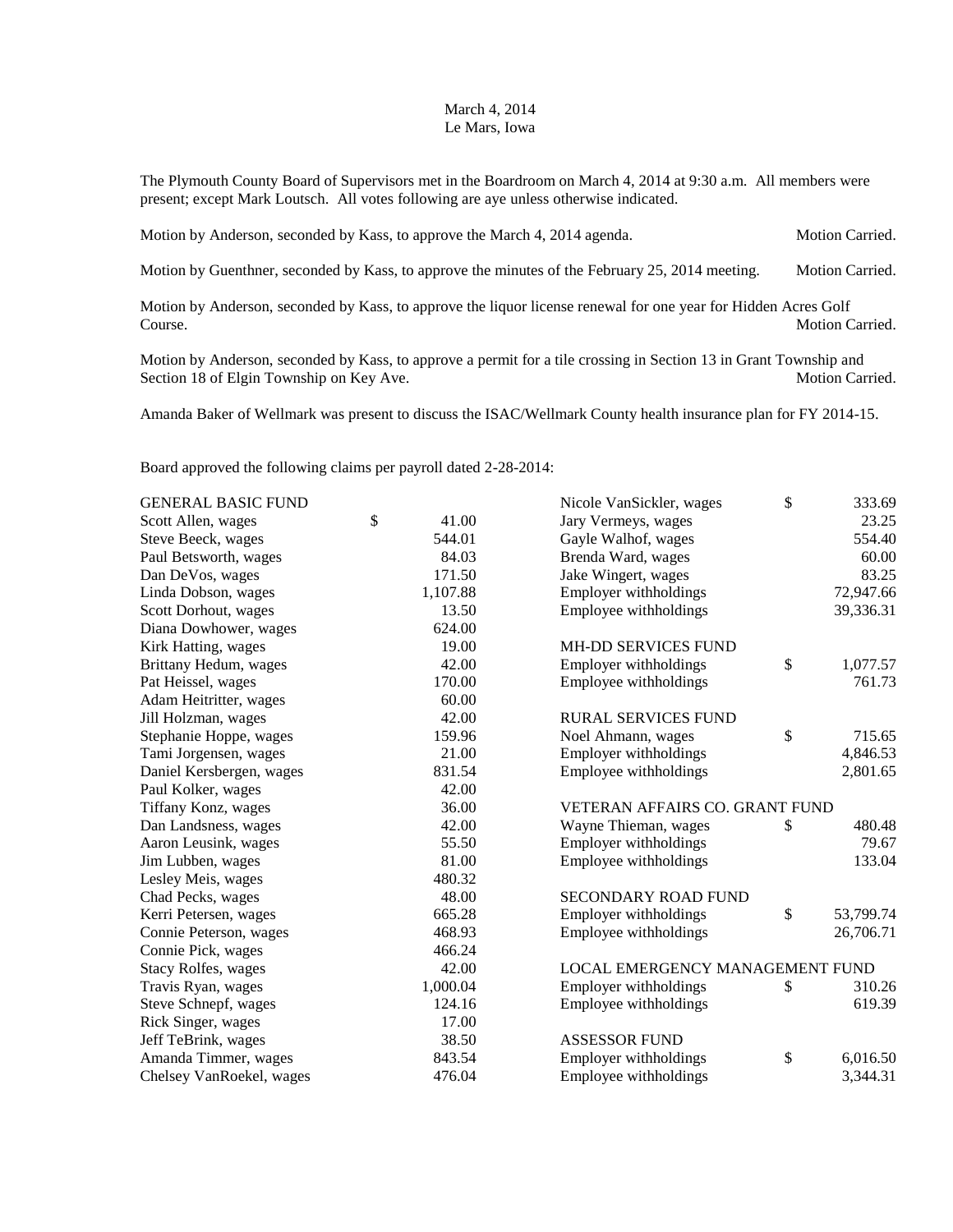## March 4, 2014 Le Mars, Iowa

The Plymouth County Board of Supervisors met in the Boardroom on March 4, 2014 at 9:30 a.m. All members were present; except Mark Loutsch. All votes following are aye unless otherwise indicated.

| Motion by Anderson, seconded by Kass, to approve the March 4, 2014 agenda. | <b>Motion Carried.</b> |
|----------------------------------------------------------------------------|------------------------|
|                                                                            |                        |

Motion by Guenthner, seconded by Kass, to approve the minutes of the February 25, 2014 meeting. Motion Carried.

Motion by Anderson, seconded by Kass, to approve the liquor license renewal for one year for Hidden Acres Golf Course. Motion Carried.

Motion by Anderson, seconded by Kass, to approve a permit for a tile crossing in Section 13 in Grant Township and Section 18 of Elgin Township on Key Ave. Motion Carried. Motion Carried.

Amanda Baker of Wellmark was present to discuss the ISAC/Wellmark County health insurance plan for FY 2014-15.

Board approved the following claims per payroll dated 2-28-2014:

| <b>GENERAL BASIC FUND</b>  |             | Nicole VanSickler, wages        | $\mathbb{S}$ | 333.69    |
|----------------------------|-------------|---------------------------------|--------------|-----------|
| Scott Allen, wages         | \$<br>41.00 | Jary Vermeys, wages             |              | 23.25     |
| Steve Beeck, wages         | 544.01      | Gayle Walhof, wages             |              | 554.40    |
| Paul Betsworth, wages      | 84.03       | Brenda Ward, wages              |              | 60.00     |
| Dan DeVos, wages           | 171.50      | Jake Wingert, wages             |              | 83.25     |
| Linda Dobson, wages        | 1,107.88    | Employer withholdings           |              | 72,947.66 |
| Scott Dorhout, wages       | 13.50       | Employee withholdings           |              | 39,336.31 |
| Diana Dowhower, wages      | 624.00      |                                 |              |           |
| Kirk Hatting, wages        | 19.00       | <b>MH-DD SERVICES FUND</b>      |              |           |
| Brittany Hedum, wages      | 42.00       | Employer withholdings           | \$           | 1,077.57  |
| Pat Heissel, wages         | 170.00      | Employee withholdings           |              | 761.73    |
| Adam Heitritter, wages     | 60.00       |                                 |              |           |
| Jill Holzman, wages        | 42.00       | <b>RURAL SERVICES FUND</b>      |              |           |
| Stephanie Hoppe, wages     | 159.96      | Noel Ahmann, wages              | $\mathbb{S}$ | 715.65    |
| Tami Jorgensen, wages      | 21.00       | Employer withholdings           |              | 4,846.53  |
| Daniel Kersbergen, wages   | 831.54      | Employee withholdings           |              | 2,801.65  |
| Paul Kolker, wages         | 42.00       |                                 |              |           |
| Tiffany Konz, wages        | 36.00       | VETERAN AFFAIRS CO. GRANT FUND  |              |           |
| Dan Landsness, wages       | 42.00       | Wayne Thieman, wages            | \$           | 480.48    |
| Aaron Leusink, wages       | 55.50       | Employer withholdings           |              | 79.67     |
| Jim Lubben, wages          | 81.00       | Employee withholdings           |              | 133.04    |
| Lesley Meis, wages         | 480.32      |                                 |              |           |
| Chad Pecks, wages          | 48.00       | <b>SECONDARY ROAD FUND</b>      |              |           |
| Kerri Petersen, wages      | 665.28      | Employer withholdings           | \$           | 53,799.74 |
| Connie Peterson, wages     | 468.93      | Employee withholdings           |              | 26,706.71 |
| Connie Pick, wages         | 466.24      |                                 |              |           |
| <b>Stacy Rolfes, wages</b> | 42.00       | LOCAL EMERGENCY MANAGEMENT FUND |              |           |
| Travis Ryan, wages         | 1,000.04    | Employer withholdings           | \$           | 310.26    |
| Steve Schnepf, wages       | 124.16      | Employee withholdings           |              | 619.39    |
| Rick Singer, wages         | 17.00       |                                 |              |           |
| Jeff TeBrink, wages        | 38.50       | <b>ASSESSOR FUND</b>            |              |           |
| Amanda Timmer, wages       | 843.54      | Employer withholdings           | \$           | 6,016.50  |
| Chelsey VanRoekel, wages   | 476.04      | Employee withholdings           |              | 3,344.31  |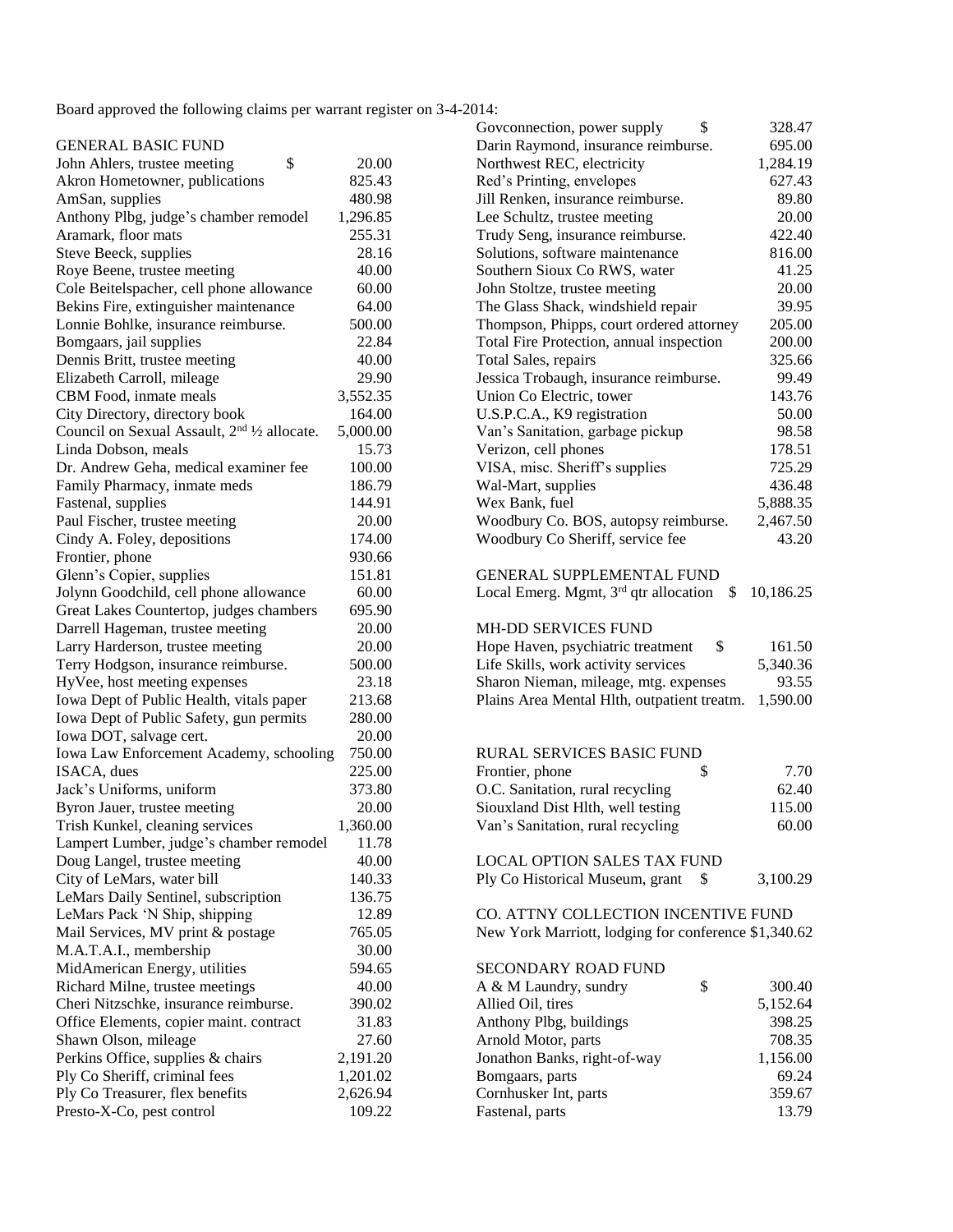Board approved the following claims per warrant register on 3-4-2014:

| <b>GENERAL BASIC FUND</b>                                             |          | $\sim$ . connection, power suppr $\mathbf{r}$<br>695<br>Darin Raymond, insurance reimburse. |
|-----------------------------------------------------------------------|----------|---------------------------------------------------------------------------------------------|
| \$<br>John Ahlers, trustee meeting                                    | 20.00    | Northwest REC, electricity<br>1,284                                                         |
| Akron Hometowner, publications                                        | 825.43   | Red's Printing, envelopes<br>627                                                            |
| AmSan, supplies                                                       | 480.98   | 89<br>Jill Renken, insurance reimburse.                                                     |
| Anthony Plbg, judge's chamber remodel                                 | 1,296.85 | 20<br>Lee Schultz, trustee meeting                                                          |
| Aramark, floor mats                                                   | 255.31   | 422<br>Trudy Seng, insurance reimburse.                                                     |
| Steve Beeck, supplies                                                 | 28.16    | Solutions, software maintenance<br>816                                                      |
| Roye Beene, trustee meeting                                           | 40.00    | Southern Sioux Co RWS, water<br>41                                                          |
| Cole Beitelspacher, cell phone allowance                              | 60.00    | 20<br>John Stoltze, trustee meeting                                                         |
| Bekins Fire, extinguisher maintenance                                 | 64.00    | 39<br>The Glass Shack, windshield repair                                                    |
| Lonnie Bohlke, insurance reimburse.                                   | 500.00   | Thompson, Phipps, court ordered attorney<br>205                                             |
| Bomgaars, jail supplies                                               | 22.84    | 200<br>Total Fire Protection, annual inspection                                             |
| Dennis Britt, trustee meeting                                         | 40.00    | 325<br>Total Sales, repairs                                                                 |
| Elizabeth Carroll, mileage                                            | 29.90    | Jessica Trobaugh, insurance reimburse.<br>99                                                |
| CBM Food, inmate meals                                                | 3,552.35 | Union Co Electric, tower<br>143                                                             |
| City Directory, directory book                                        | 164.00   | U.S.P.C.A., K9 registration<br>50                                                           |
| Council on Sexual Assault, 2 <sup>nd 1</sup> / <sub>2</sub> allocate. | 5,000.00 | 98<br>Van's Sanitation, garbage pickup                                                      |
| Linda Dobson, meals                                                   | 15.73    | Verizon, cell phones<br>178                                                                 |
| Dr. Andrew Geha, medical examiner fee                                 | 100.00   | VISA, misc. Sheriff's supplies<br>725                                                       |
| Family Pharmacy, inmate meds                                          | 186.79   | Wal-Mart, supplies<br>436                                                                   |
| Fastenal, supplies                                                    | 144.91   | 5,888<br>Wex Bank, fuel                                                                     |
| Paul Fischer, trustee meeting                                         | 20.00    | Woodbury Co. BOS, autopsy reimburse.<br>2,467                                               |
| Cindy A. Foley, depositions                                           | 174.00   | Woodbury Co Sheriff, service fee<br>43                                                      |
| Frontier, phone                                                       | 930.66   |                                                                                             |
| Glenn's Copier, supplies                                              | 151.81   | <b>GENERAL SUPPLEMENTAL FUND</b>                                                            |
| Jolynn Goodchild, cell phone allowance                                | 60.00    | Local Emerg. Mgmt, $3rd$ qtr allocation<br>10,186<br>S.                                     |
| Great Lakes Countertop, judges chambers                               | 695.90   |                                                                                             |
| Darrell Hageman, trustee meeting                                      | 20.00    | <b>MH-DD SERVICES FUND</b>                                                                  |
| Larry Harderson, trustee meeting                                      | 20.00    | Hope Haven, psychiatric treatment<br>\$<br>161                                              |
| Terry Hodgson, insurance reimburse.                                   | 500.00   | Life Skills, work activity services<br>5,340                                                |
| HyVee, host meeting expenses                                          | 23.18    | 93<br>Sharon Nieman, mileage, mtg. expenses                                                 |
| Iowa Dept of Public Health, vitals paper                              | 213.68   | Plains Area Mental Hlth, outpatient treatm.<br>1,590                                        |
| Iowa Dept of Public Safety, gun permits                               | 280.00   |                                                                                             |
| Iowa DOT, salvage cert.                                               | 20.00    |                                                                                             |
| Iowa Law Enforcement Academy, schooling                               | 750.00   | RURAL SERVICES BASIC FUND                                                                   |
| ISACA, dues                                                           | 225.00   | Frontier, phone<br>\$<br>7                                                                  |
| Jack's Uniforms, uniform                                              | 373.80   | O.C. Sanitation, rural recycling<br>62                                                      |
| Byron Jauer, trustee meeting                                          | 20.00    | Siouxland Dist Hlth, well testing<br>115                                                    |
| Trish Kunkel, cleaning services                                       | 1,360.00 | Van's Sanitation, rural recycling<br>60                                                     |
| Lampert Lumber, judge's chamber remodel                               | 11.78    |                                                                                             |
| Doug Langel, trustee meeting                                          | 40.00    | LOCAL OPTION SALES TAX FUND                                                                 |
| City of LeMars, water bill                                            | 140.33   | 3,100<br>Ply Co Historical Museum, grant<br>S                                               |
| LeMars Daily Sentinel, subscription                                   | 136.75   |                                                                                             |
| LeMars Pack 'N Ship, shipping                                         | 12.89    | CO. ATTNY COLLECTION INCENTIVE FUND                                                         |
| Mail Services, MV print & postage                                     | 765.05   | New York Marriott, lodging for conference \$1,340                                           |
| M.A.T.A.I., membership                                                | 30.00    |                                                                                             |
| MidAmerican Energy, utilities                                         | 594.65   | SECONDARY ROAD FUND                                                                         |
| Richard Milne, trustee meetings                                       | 40.00    | \$<br>300<br>A & M Laundry, sundry                                                          |
| Cheri Nitzschke, insurance reimburse.                                 | 390.02   | Allied Oil, tires<br>5,152                                                                  |
| Office Elements, copier maint. contract                               | 31.83    | Anthony Plbg, buildings<br>398                                                              |
| Shawn Olson, mileage                                                  | 27.60    | Arnold Motor, parts<br>708                                                                  |
| Perkins Office, supplies & chairs                                     | 2,191.20 | Jonathon Banks, right-of-way<br>1,156                                                       |
| Ply Co Sheriff, criminal fees                                         | 1,201.02 | 69<br>Bomgaars, parts                                                                       |
| Ply Co Treasurer, flex benefits                                       | 2,626.94 | 359<br>Cornhusker Int, parts                                                                |
| Presto-X-Co, pest control                                             | 109.22   | Fastenal, parts<br>13                                                                       |

| Board approved the following claffils per warrant register on 5-4-2014.      |                |                                                                  |                |
|------------------------------------------------------------------------------|----------------|------------------------------------------------------------------|----------------|
|                                                                              |                | Goveonnection, power supply<br>\$                                | 328.47         |
| <b>GENERAL BASIC FUND</b>                                                    |                | Darin Raymond, insurance reimburse.                              | 695.00         |
| \$<br>John Ahlers, trustee meeting                                           | 20.00          | Northwest REC, electricity                                       | 1,284.19       |
| Akron Hometowner, publications                                               | 825.43         | Red's Printing, envelopes                                        | 627.43         |
| AmSan, supplies                                                              | 480.98         | Jill Renken, insurance reimburse.                                | 89.80          |
| Anthony Plbg, judge's chamber remodel                                        | 1,296.85       | Lee Schultz, trustee meeting                                     | 20.00          |
| Aramark, floor mats                                                          | 255.31         | Trudy Seng, insurance reimburse.                                 | 422.40         |
| Steve Beeck, supplies                                                        | 28.16          | Solutions, software maintenance                                  | 816.00         |
| Roye Beene, trustee meeting                                                  | 40.00<br>60.00 | Southern Sioux Co RWS, water<br>John Stoltze, trustee meeting    | 41.25<br>20.00 |
| Cole Beitelspacher, cell phone allowance                                     | 64.00          | The Glass Shack, windshield repair                               | 39.95          |
| Bekins Fire, extinguisher maintenance<br>Lonnie Bohlke, insurance reimburse. | 500.00         |                                                                  | 205.00         |
|                                                                              | 22.84          | Thompson, Phipps, court ordered attorney                         | 200.00         |
| Bomgaars, jail supplies<br>Dennis Britt, trustee meeting                     | 40.00          | Total Fire Protection, annual inspection<br>Total Sales, repairs | 325.66         |
| Elizabeth Carroll, mileage                                                   | 29.90          | Jessica Trobaugh, insurance reimburse.                           | 99.49          |
| CBM Food, inmate meals                                                       | 3,552.35       | Union Co Electric, tower                                         | 143.76         |
| City Directory, directory book                                               | 164.00         | U.S.P.C.A., K9 registration                                      | 50.00          |
| Council on Sexual Assault, 2 <sup>nd 1</sup> /2 allocate.                    | 5,000.00       | Van's Sanitation, garbage pickup                                 | 98.58          |
| Linda Dobson, meals                                                          | 15.73          | Verizon, cell phones                                             | 178.51         |
| Dr. Andrew Geha, medical examiner fee                                        | 100.00         | VISA, misc. Sheriff's supplies                                   | 725.29         |
| Family Pharmacy, inmate meds                                                 | 186.79         | Wal-Mart, supplies                                               | 436.48         |
| Fastenal, supplies                                                           | 144.91         | Wex Bank, fuel                                                   | 5,888.35       |
| Paul Fischer, trustee meeting                                                | 20.00          | Woodbury Co. BOS, autopsy reimburse.                             | 2,467.50       |
| Cindy A. Foley, depositions                                                  | 174.00         | Woodbury Co Sheriff, service fee                                 | 43.20          |
| Frontier, phone                                                              | 930.66         |                                                                  |                |
| Glenn's Copier, supplies                                                     | 151.81         | <b>GENERAL SUPPLEMENTAL FUND</b>                                 |                |
| Jolynn Goodchild, cell phone allowance                                       | 60.00          | Local Emerg. Mgmt, $3rd$ qtr allocation<br>\$                    | 10,186.25      |
| Great Lakes Countertop, judges chambers                                      | 695.90         |                                                                  |                |
| Darrell Hageman, trustee meeting                                             | 20.00          | MH-DD SERVICES FUND                                              |                |
| Larry Harderson, trustee meeting                                             | 20.00          | Hope Haven, psychiatric treatment<br>\$                          | 161.50         |
| Terry Hodgson, insurance reimburse.                                          | 500.00         | Life Skills, work activity services                              | 5,340.36       |
| HyVee, host meeting expenses                                                 | 23.18          | Sharon Nieman, mileage, mtg. expenses                            | 93.55          |
| Iowa Dept of Public Health, vitals paper                                     | 213.68         | Plains Area Mental Hlth, outpatient treatm.                      | 1,590.00       |
| Iowa Dept of Public Safety, gun permits                                      | 280.00         |                                                                  |                |
| Iowa DOT, salvage cert.                                                      | 20.00          |                                                                  |                |
| Iowa Law Enforcement Academy, schooling                                      | 750.00         | <b>RURAL SERVICES BASIC FUND</b>                                 |                |
| ISACA, dues                                                                  | 225.00         | Frontier, phone<br>\$                                            | 7.70           |
| Jack's Uniforms, uniform                                                     | 373.80         | O.C. Sanitation, rural recycling                                 | 62.40          |
| Byron Jauer, trustee meeting                                                 | 20.00          | Siouxland Dist Hlth, well testing                                | 115.00         |
| Trish Kunkel, cleaning services                                              | 1,360.00       | Van's Sanitation, rural recycling                                | 60.00          |
| Lampert Lumber, judge's chamber remodel                                      | 11.78          |                                                                  |                |
| Doug Langel, trustee meeting                                                 | 40.00          | LOCAL OPTION SALES TAX FUND                                      |                |
| City of LeMars, water bill                                                   | 140.33         | Ply Co Historical Museum, grant<br>\$                            | 3,100.29       |
| LeMars Daily Sentinel, subscription                                          | 136.75         |                                                                  |                |
| LeMars Pack 'N Ship, shipping                                                | 12.89          | CO. ATTNY COLLECTION INCENTIVE FUND                              |                |
| Mail Services, MV print & postage                                            | 765.05         | New York Marriott, lodging for conference \$1,340.62             |                |
| M.A.T.A.I., membership                                                       | 30.00          |                                                                  |                |
| MidAmerican Energy, utilities                                                | 594.65         | SECONDARY ROAD FUND                                              |                |
| Richard Milne, trustee meetings                                              | 40.00          | \$<br>A & M Laundry, sundry                                      | 300.40         |
| Cheri Nitzschke, insurance reimburse.                                        | 390.02         | Allied Oil, tires                                                | 5,152.64       |
| Office Elements, copier maint. contract                                      | 31.83          | Anthony Plbg, buildings                                          | 398.25         |
| Shawn Olson, mileage                                                         | 27.60          | Arnold Motor, parts                                              | 708.35         |
| Perkins Office, supplies & chairs                                            | 2,191.20       | Jonathon Banks, right-of-way                                     | 1,156.00       |
| Ply Co Sheriff, criminal fees                                                | 1,201.02       | Bomgaars, parts                                                  | 69.24          |
| Ply Co Treasurer, flex benefits                                              | 2,626.94       | Cornhusker Int, parts                                            | 359.67         |
| Presto-X-Co, pest control                                                    | 109.22         | Fastenal, parts                                                  | 13.79          |